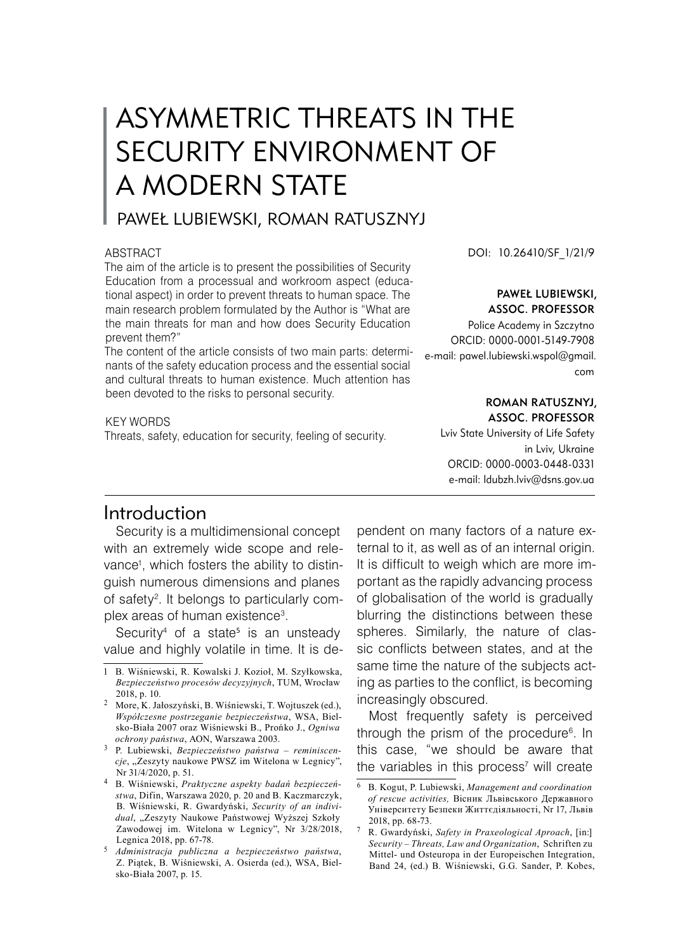# ASYMMETRIC THREATS IN THE SECURITY ENVIRONMENT OF A MODERN STATE

# PAWEŁ LUBIEWSKI, ROMAN RATUSZNYJ

#### ABSTRACT

The aim of the article is to present the possibilities of Security Education from a processual and workroom aspect (educational aspect) in order to prevent threats to human space. The main research problem formulated by the Author is "What are the main threats for man and how does Security Education prevent them?"

The content of the article consists of two main parts: determinants of the safety education process and the essential social and cultural threats to human existence. Much attention has been devoted to the risks to personal security.

KEY WORDS

Threats, safety, education for security, feeling of security.

DOI: 10.26410/SF\_1/21/9

#### Paweł Lubiewski, Assoc. Professor

Police Academy in Szczytno ORCID: 0000-0001-5149-7908 e-mail: pawel.lubiewski.wspol@gmail. com

#### Roman Ratusznyj, Assoc. Professor

Lviv State University of Life Safety in Lviv, Ukraine ORCID: 0000-0003-0448-0331 e-mail: ldubzh.lviv@dsns.gov.ua

## Introduction

Security is a multidimensional concept with an extremely wide scope and relevance , which fosters the ability to distinguish numerous dimensions and planes of safety . It belongs to particularly complex areas of human existence .

Security<sup>4</sup> of a state<sup>5</sup> is an unsteady value and highly volatile in time. It is dependent on many factors of a nature external to it, as well as of an internal origin. It is difficult to weigh which are more important as the rapidly advancing process of globalisation of the world is gradually blurring the distinctions between these spheres. Similarly, the nature of classic conflicts between states, and at the same time the nature of the subjects acting as parties to the conflict, is becoming increasingly obscured.

Most frequently safety is perceived through the prism of the procedure . In this case, "we should be aware that the variables in this process will create

B. Wiśniewski, R. Kowalski J. Kozioł, M. Szyłkowska, *Bezpieczeństwo procesów decyzyjnych*, TUM, Wrocław 2018, p. 10.

More, K. Jałoszyński, B. Wiśniewski, T. Wojtuszek (ed.), *Współczesne postrzeganie bezpieczeństwa*, WSA, Bielsko-Biała 2007 oraz Wiśniewski B., Prońko J., *Ogniwa ochrony państwa*, AON, Warszawa 2003.

P. Lubiewski, *Bezpieczeństwo państwa – reminiscen*cje, "Zeszyty naukowe PWSZ im Witelona w Legnicy", Nr 31/4/2020, p. 51.

B. Wiśniewski, *Praktyczne aspekty badań bezpieczeństwa*, Difin, Warszawa 2020, p. 20 and B. Kaczmarczyk, B. Wiśniewski, R. Gwardyński, *Security of an indivi*dual, "Zeszyty Naukowe Państwowej Wyższej Szkoły Zawodowej im. Witelona w Legnicy", Nr 3/28/2018, Legnica 2018, pp. 67-78.

*Administracja publiczna a bezpieczeństwo państwa*, Z. Piątek, B. Wiśniewski, A. Osierda (ed.), WSA, Bielsko-Biała 2007, p. 15.

B. Kogut, P. Lubiewski, *Management and coordination of rescue activities,* Вісник Львівського Державного Університету Безпеки Життєдіяльності, Nr 17, Львів 2018, pp. 68-73.

R. Gwardyński, *Safety in Praxeological Aproach*, [in:] *Security – Threats, Law and Organization*, Schriften zu Mittel- und Osteuropa in der Europeischen Integration, Band 24, (ed.) B. Wiśniewski, G.G. Sander, P. Kobes,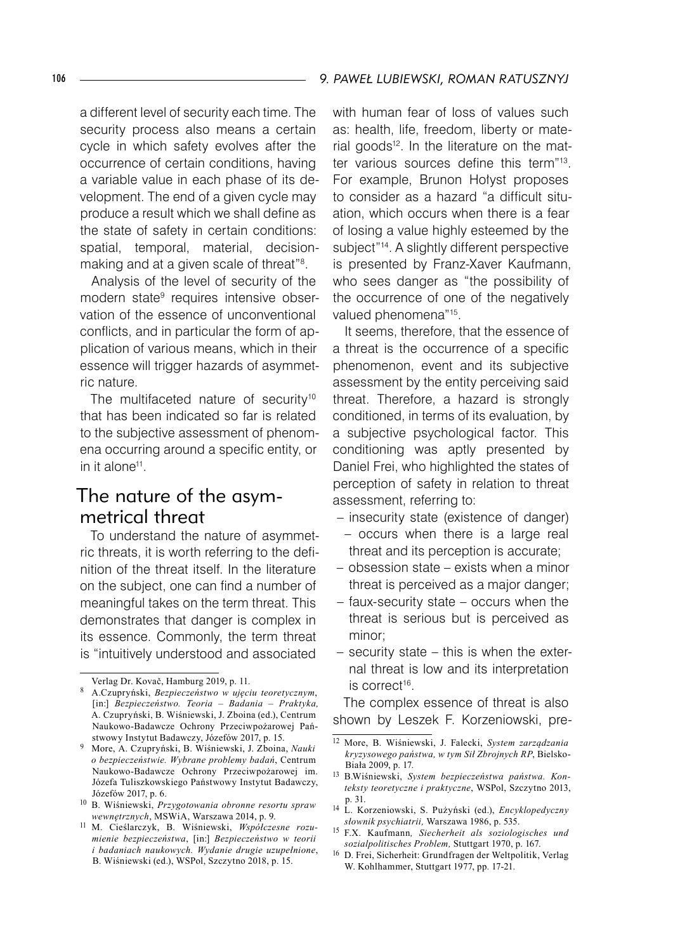a different level of security each time. The security process also means a certain cycle in which safety evolves after the occurrence of certain conditions, having a variable value in each phase of its development. The end of a given cycle may produce a result which we shall define as the state of safety in certain conditions: spatial, temporal, material, decisionmaking and at a given scale of threat" .

Analysis of the level of security of the modern state<sup>9</sup> requires intensive observation of the essence of unconventional conflicts, and in particular the form of application of various means, which in their essence will trigger hazards of asymmetric nature.

The multifaceted nature of security<sup>10</sup> that has been indicated so far is related to the subjective assessment of phenomena occurring around a specific entity, or in it alone<sup>11</sup>.

# The nature of the asymmetrical threat

To understand the nature of asymmetric threats, it is worth referring to the definition of the threat itself. In the literature on the subject, one can find a number of meaningful takes on the term threat. This demonstrates that danger is complex in its essence. Commonly, the term threat is "intuitively understood and associated

with human fear of loss of values such as: health, life, freedom, liberty or material goods<sup>12</sup>. In the literature on the matter various sources define this term"13. For example, Brunon Hołyst proposes to consider as a hazard "a difficult situation, which occurs when there is a fear of losing a value highly esteemed by the subject"<sup>14</sup>. A slightly different perspective is presented by Franz-Xaver Kaufmann, who sees danger as "the possibility of the occurrence of one of the negatively valued phenomena"15 .

It seems, therefore, that the essence of a threat is the occurrence of a specific phenomenon, event and its subjective assessment by the entity perceiving said threat. Therefore, a hazard is strongly conditioned, in terms of its evaluation, by a subjective psychological factor. This conditioning was aptly presented by Daniel Frei, who highlighted the states of perception of safety in relation to threat assessment, referring to:

- insecurity state (existence of danger)
- occurs when there is a large real threat and its perception is accurate;
- obsession state exists when a minor threat is perceived as a major danger;
- faux-security state occurs when the threat is serious but is perceived as minor;
- security state this is when the external threat is low and its interpretation is correct<sup>16</sup>.

The complex essence of threat is also shown by Leszek F. Korzeniowski, pre-

- <sup>14</sup> L. Korzeniowski, S. Pużyński (ed.), *Encyklopedyczny słownik psychiatrii,* Warszawa 1986, p. 535.
- 15 F.X. Kaufmann*, Siecherheit als soziologisches und sozialpolitisches Problem,* Stuttgart 1970, p. 167.
- 16 D. Frei, Sicherheit: Grundfragen der Weltpolitik, Verlag W. Kohlhammer, Stuttgart 1977, pp. 17-21.

Verlag Dr. Kovač, Hamburg 2019, p. 11.

A.Czupryński, *Bezpieczeństwo w ujęciu teoretycznym*, [in:] *Bezpieczeństwo. Teoria – Badania – Praktyka,*  A. Czupryński, B. Wiśniewski, J. Zboina (ed.), Centrum Naukowo-Badawcze Ochrony Przeciwpożarowej Państwowy Instytut Badawczy, Józefów 2017, p. 15.

More, A. Czupryński, B. Wiśniewski, J. Zboina, *Nauki o bezpieczeństwie. Wybrane problemy badań*, Centrum Naukowo-Badawcze Ochrony Przeciwpożarowej im. Józefa Tuliszkowskiego Państwowy Instytut Badawczy, Józefów 2017, p. 6.

<sup>10</sup> B. Wiśniewski, *Przygotowania obronne resortu spraw wewnętrznych*, MSWiA, Warszawa 2014, p. 9.

<sup>11</sup> M. Cieślarczyk, B. Wiśniewski, *Współczesne rozumienie bezpieczeństwa*, [in:] *Bezpieczeństwo w teorii i badaniach naukowych. Wydanie drugie uzupełnione*, B. Wiśniewski (ed.), WSPol, Szczytno 2018, p. 15.

<sup>12</sup> More, B. Wiśniewski, J. Falecki, *System zarządzania kryzysowego państwa, w tym Sił Zbrojnych RP*, Bielsko-Biała 2009, p. 17.

<sup>13</sup> B.Wiśniewski, *System bezpieczeństwa państwa. Konteksty teoretyczne i praktyczne*, WSPol, Szczytno 2013, p. 31.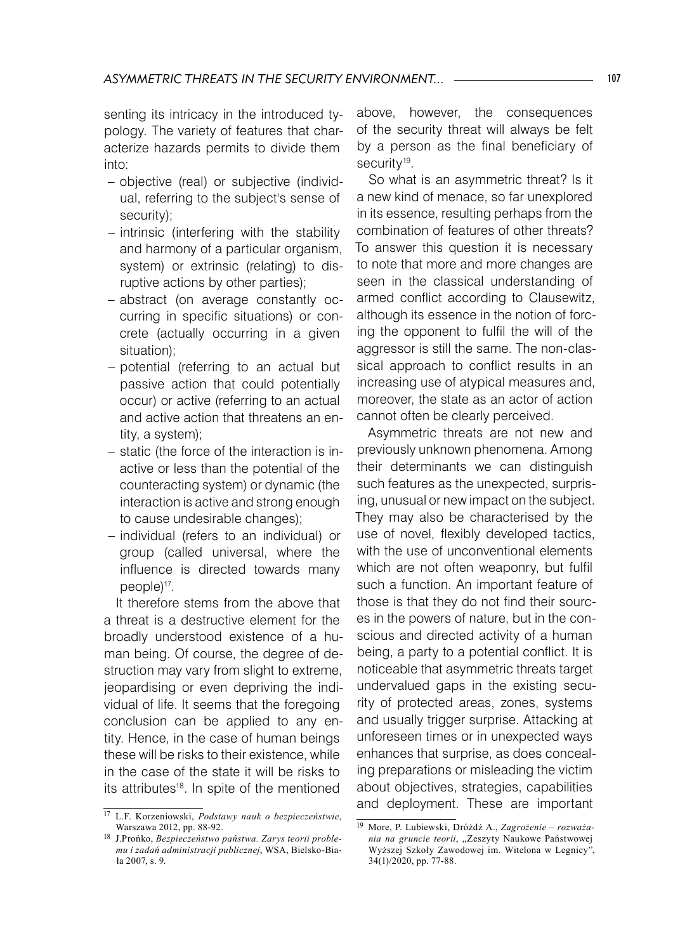senting its intricacy in the introduced typology. The variety of features that characterize hazards permits to divide them into:

- objective (real) or subjective (individual, referring to the subject's sense of security);
- intrinsic (interfering with the stability and harmony of a particular organism, system) or extrinsic (relating) to disruptive actions by other parties);
- abstract (on average constantly oc-– curring in specific situations) or concrete (actually occurring in a given situation);
- potential (referring to an actual but passive action that could potentially occur) or active (referring to an actual and active action that threatens an entity, a system);
- static (the force of the interaction is inactive or less than the potential of the counteracting system) or dynamic (the interaction is active and strong enough to cause undesirable changes);
- individual (refers to an individual) or group (called universal, where the influence is directed towards many people)17.

It therefore stems from the above that a threat is a destructive element for the broadly understood existence of a human being. Of course, the degree of destruction may vary from slight to extreme, jeopardising or even depriving the individual of life. It seems that the foregoing conclusion can be applied to any entity. Hence, in the case of human beings these will be risks to their existence, while in the case of the state it will be risks to its attributes<sup>18</sup>. In spite of the mentioned

above, however, the consequences of the security threat will always be felt by a person as the final beneficiary of security<sup>19</sup>.

So what is an asymmetric threat? Is it a new kind of menace, so far unexplored in its essence, resulting perhaps from the combination of features of other threats? To answer this question it is necessary to note that more and more changes are seen in the classical understanding of armed conflict according to Clausewitz, although its essence in the notion of forcing the opponent to fulfil the will of the aggressor is still the same. The non-classical approach to conflict results in an increasing use of atypical measures and, moreover, the state as an actor of action cannot often be clearly perceived.

Asymmetric threats are not new and previously unknown phenomena. Among their determinants we can distinguish such features as the unexpected, surprising, unusual or new impact on the subject. They may also be characterised by the use of novel, flexibly developed tactics, with the use of unconventional elements which are not often weaponry, but fulfil such a function. An important feature of those is that they do not find their sources in the powers of nature, but in the conscious and directed activity of a human being, a party to a potential conflict. It is noticeable that asymmetric threats target undervalued gaps in the existing security of protected areas, zones, systems and usually trigger surprise. Attacking at unforeseen times or in unexpected ways enhances that surprise, as does concealing preparations or misleading the victim about objectives, strategies, capabilities and deployment. These are important

<sup>17</sup> L.F. Korzeniowski, *Podstawy nauk o bezpieczeństwie*, Warszawa 2012, pp. 88-92.

<sup>18</sup> J.Prońko, *Bezpieczeństwo państwa. Zarys teorii problemu i zadań administracji publicznej*, WSA, Bielsko-Biała 2007, s. 9.

<sup>19</sup> More, P. Lubiewski, Dróżdż A., *Zagrożenie – rozważania na gruncie teorii*, "Zeszyty Naukowe Państwowej Wyższej Szkoły Zawodowej im. Witelona w Legnicy", 34(1)/2020, pp. 77-88.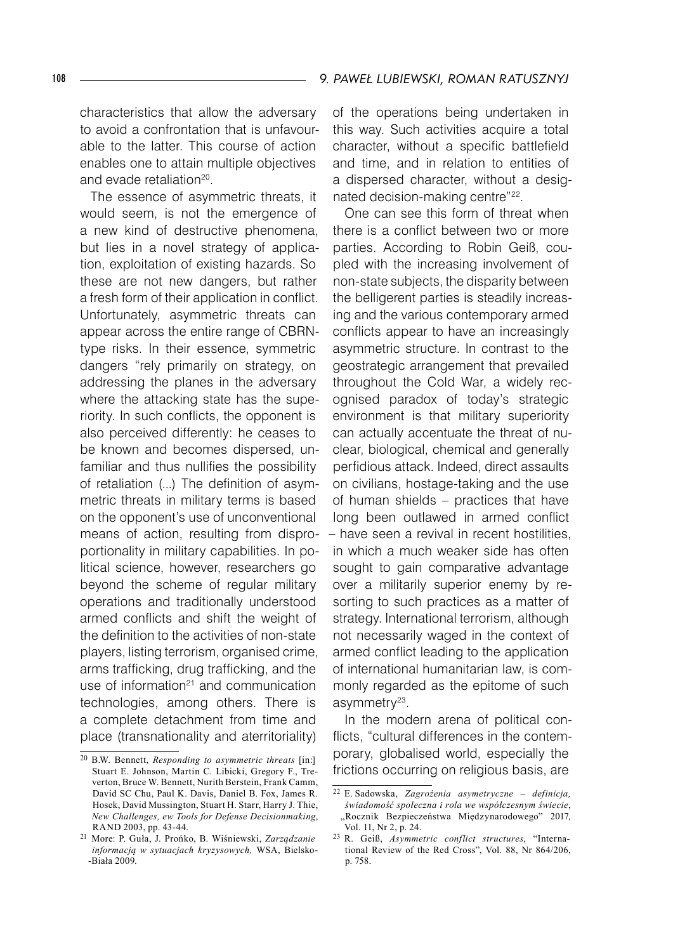characteristics that allow the adversary to avoid a confrontation that is unfavourable to the latter. This course of action enables one to attain multiple objectives and evade retaliation<sup>20</sup>.

The essence of asymmetric threats, it would seem, is not the emergence of a new kind of destructive phenomena, but lies in a novel strategy of application, exploitation of existing hazards. So these are not new dangers, but rather a fresh form of their application in conflict. Unfortunately, asymmetric threats can appear across the entire range of CBRNtype risks. In their essence, symmetric dangers "rely primarily on strategy, on addressing the planes in the adversary where the attacking state has the superiority. In such conflicts, the opponent is also perceived differently: he ceases to be known and becomes dispersed, unfamiliar and thus nullifies the possibility of retaliation (...) The definition of asymmetric threats in military terms is based on the opponent's use of unconventional means of action, resulting from disproportionality in military capabilities. In political science, however, researchers go beyond the scheme of regular military operations and traditionally understood armed conflicts and shift the weight of the definition to the activities of non-state players, listing terrorism, organised crime, arms trafficking, drug trafficking, and the use of information $21$  and communication technologies, among others. There is a complete detachment from time and place (transnationality and aterritoriality)

of the operations being undertaken in this way. Such activities acquire a total character, without a specific battlefield and time, and in relation to entities of a dispersed character, without a designated decision-making centre"22.

One can see this form of threat when there is a conflict between two or more parties. According to Robin Geiß, coupled with the increasing involvement of non-state subjects, the disparity between the belligerent parties is steadily increasing and the various contemporary armed conflicts appear to have an increasingly asymmetric structure. In contrast to the geostrategic arrangement that prevailed throughout the Cold War, a widely recognised paradox of today's strategic environment is that military superiority can actually accentuate the threat of nuclear, biological, chemical and generally perfidious attack. Indeed, direct assaults on civilians, hostage-taking and the use of human shields – practices that have long been outlawed in armed conflict – have seen a revival in recent hostilities, in which a much weaker side has often sought to gain comparative advantage over a militarily superior enemy by resorting to such practices as a matter of strategy. International terrorism, although not necessarily waged in the context of armed conflict leading to the application of international humanitarian law, is commonly regarded as the epitome of such asymmetry<sup>23</sup>.

In the modern arena of political conflicts, "cultural differences in the contemporary, globalised world, especially the frictions occurring on religious basis, are

<sup>20</sup> B.W. Bennett, *Responding to asymmetric threats* [in:] Stuart E. Johnson, Martin C. Libicki, Gregory F., Treverton, Bruce W. Bennett, Nurith Berstein, Frank Camm, David SC Chu, Paul K. Davis, Daniel B. Fox, James R. Hosek, David Mussington, Stuart H. Starr, Harry J. Thie, *New Challenges, ew Tools for Defense Decisionmaking*, RAND 2003, pp. 43-44.

<sup>21</sup> More: P. Guła, J. Prońko, B. Wiśniewski, *Zarządzanie informacją w sytuacjach kryzysowych,* WSA, Bielsko- -Biała 2009.

<sup>22</sup> E. Sadowska, *Zagrożenia asymetryczne – definicja, świadomość społeczna i rola we współczesnym świecie*, "Rocznik Bezpieczeństwa Międzynarodowego" 2017, Vol. 11, Nr 2, p. 24.

<sup>23</sup> R. Geiß, *Asymmetric conflict structures*, "International Review of the Red Cross", Vol. 88, Nr 864/206, p. 758.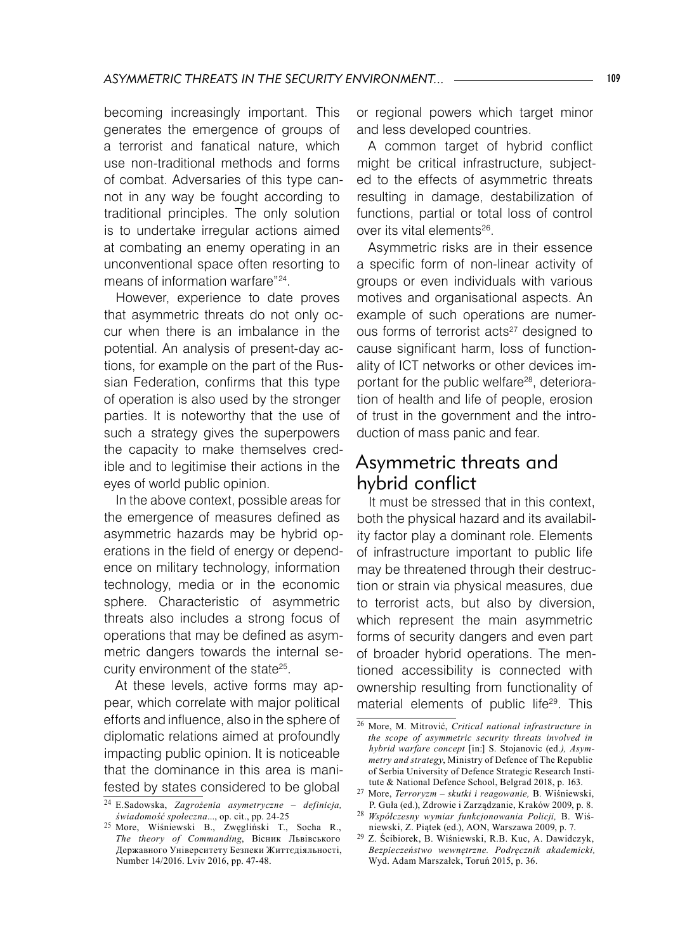becoming increasingly important. This generates the emergence of groups of a terrorist and fanatical nature, which use non-traditional methods and forms of combat. Adversaries of this type cannot in any way be fought according to traditional principles. The only solution is to undertake irregular actions aimed at combating an enemy operating in an unconventional space often resorting to means of information warfare"24.

However, experience to date proves that asymmetric threats do not only occur when there is an imbalance in the potential. An analysis of present-day actions, for example on the part of the Russian Federation, confirms that this type of operation is also used by the stronger parties. It is noteworthy that the use of such a strategy gives the superpowers the capacity to make themselves credible and to legitimise their actions in the eyes of world public opinion.

In the above context, possible areas for the emergence of measures defined as asymmetric hazards may be hybrid operations in the field of energy or dependence on military technology, information technology, media or in the economic sphere. Characteristic of asymmetric threats also includes a strong focus of operations that may be defined as asymmetric dangers towards the internal security environment of the state<sup>25</sup>.

At these levels, active forms may appear, which correlate with major political efforts and influence, also in the sphere of diplomatic relations aimed at profoundly impacting public opinion. It is noticeable that the dominance in this area is manifested by states considered to be global

or regional powers which target minor and less developed countries.

A common target of hybrid conflict might be critical infrastructure, subjected to the effects of asymmetric threats resulting in damage, destabilization of functions, partial or total loss of control over its vital elements<sup>26</sup>.

Asymmetric risks are in their essence a specific form of non-linear activity of groups or even individuals with various motives and organisational aspects. An example of such operations are numerous forms of terrorist acts<sup>27</sup> designed to cause significant harm, loss of functionality of ICT networks or other devices important for the public welfare28, deterioration of health and life of people, erosion of trust in the government and the introduction of mass panic and fear.

# Asymmetric threats and hybrid conflict

It must be stressed that in this context, both the physical hazard and its availability factor play a dominant role. Elements of infrastructure important to public life may be threatened through their destruction or strain via physical measures, due to terrorist acts, but also by diversion, which represent the main asymmetric forms of security dangers and even part of broader hybrid operations. The mentioned accessibility is connected with ownership resulting from functionality of material elements of public life<sup>29</sup>. This

<sup>24</sup> E.Sadowska, *Zagrożenia asymetryczne – definicja, świadomość społeczna*..., op. cit., pp. 24-25

<sup>25</sup> More, Wiśniewski B., Zwęgliński T., Socha R., *The theory of Commanding*, Вісник Львівського Державного Університету Безпеки Життєдіяльності, Number 14/2016. Lviv 2016, pp. 47-48.

<sup>26</sup> More, M. Mitrović, *Critical national infrastructure in the scope of asymmetric security threats involved in hybrid warfare concept* [in:] S. Stojanovic (ed*.), Asymmetry and strategy*, Ministry of Defence of The Republic of Serbia University of Defence Strategic Research Institute & National Defence School, Belgrad 2018, p. 163.

<sup>27</sup> More, *Terroryzm – skutki i reagowanie,* B. Wiśniewski, P. Guła (ed.), Zdrowie i Zarządzanie, Kraków 2009, p. 8.

<sup>28</sup> *Współczesny wymiar funkcjonowania Policji,* B. Wiśniewski, Z. Piątek (ed.), AON, Warszawa 2009, p. 7.

<sup>29</sup> Z. Ścibiorek, B. Wiśniewski, R.B. Kuc, A. Dawidczyk, *Bezpieczeństwo wewnętrzne. Podręcznik akademicki,*  Wyd. Adam Marszałek, Toruń 2015, p. 36.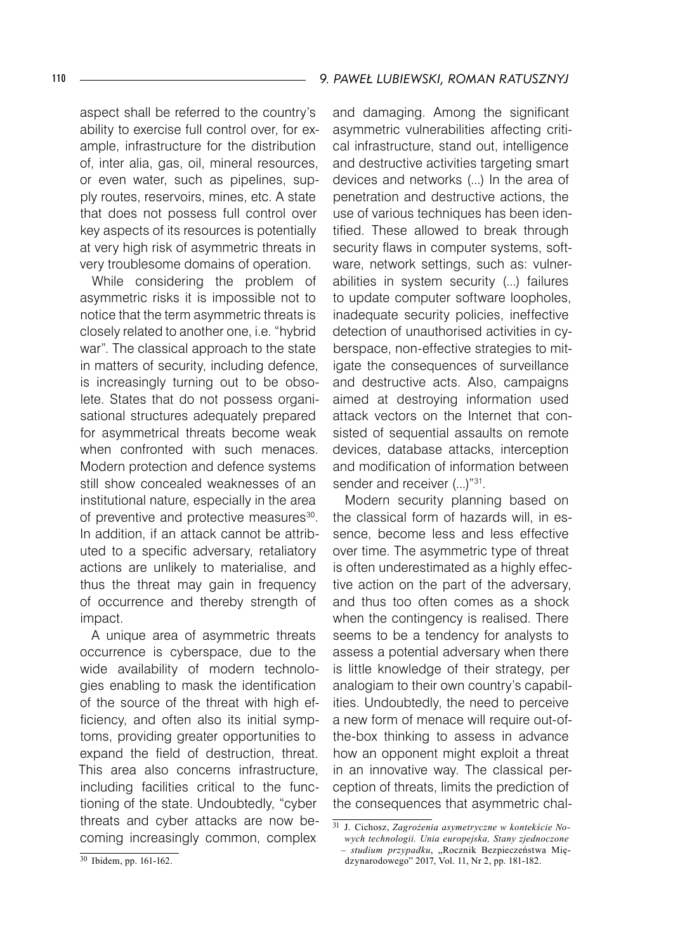aspect shall be referred to the country's ability to exercise full control over, for example, infrastructure for the distribution of, inter alia, gas, oil, mineral resources, or even water, such as pipelines, supply routes, reservoirs, mines, etc. A state that does not possess full control over key aspects of its resources is potentially at very high risk of asymmetric threats in very troublesome domains of operation.

While considering the problem of asymmetric risks it is impossible not to notice that the term asymmetric threats is closely related to another one, i.e. "hybrid war". The classical approach to the state in matters of security, including defence, is increasingly turning out to be obsolete. States that do not possess organisational structures adequately prepared for asymmetrical threats become weak when confronted with such menaces. Modern protection and defence systems still show concealed weaknesses of an institutional nature, especially in the area of preventive and protective measures<sup>30</sup>. In addition, if an attack cannot be attributed to a specific adversary, retaliatory actions are unlikely to materialise, and thus the threat may gain in frequency of occurrence and thereby strength of impact.

A unique area of asymmetric threats occurrence is cyberspace, due to the wide availability of modern technologies enabling to mask the identification of the source of the threat with high efficiency, and often also its initial symptoms, providing greater opportunities to expand the field of destruction, threat. This area also concerns infrastructure, including facilities critical to the functioning of the state. Undoubtedly, "cyber threats and cyber attacks are now becoming increasingly common, complex

and damaging. Among the significant asymmetric vulnerabilities affecting critical infrastructure, stand out, intelligence and destructive activities targeting smart devices and networks (...) In the area of penetration and destructive actions, the use of various techniques has been identified. These allowed to break through security flaws in computer systems, software, network settings, such as: vulnerabilities in system security (...) failures to update computer software loopholes, inadequate security policies, ineffective detection of unauthorised activities in cyberspace, non-effective strategies to mitigate the consequences of surveillance and destructive acts. Also, campaigns aimed at destroying information used attack vectors on the Internet that consisted of sequential assaults on remote devices, database attacks, interception and modification of information between sender and receiver (...)"31.

Modern security planning based on the classical form of hazards will, in essence, become less and less effective over time. The asymmetric type of threat is often underestimated as a highly effective action on the part of the adversary, and thus too often comes as a shock when the contingency is realised. There seems to be a tendency for analysts to assess a potential adversary when there is little knowledge of their strategy, per analogiam to their own country's capabilities. Undoubtedly, the need to perceive a new form of menace will require out-ofthe-box thinking to assess in advance how an opponent might exploit a threat in an innovative way. The classical perception of threats, limits the prediction of the consequences that asymmetric chal-

dzynarodowego" 2017, Vol. 11, Nr 2, pp. 181-182.

<sup>31</sup> J. Cichosz, *Zagrożenia asymetryczne w kontekście Nowych technologii. Unia europejska, Stany zjednoczone – studium przypadku*, "Rocznik Bezpieczeństwa Mię-

<sup>30</sup> Ibidem, pp. 161-162.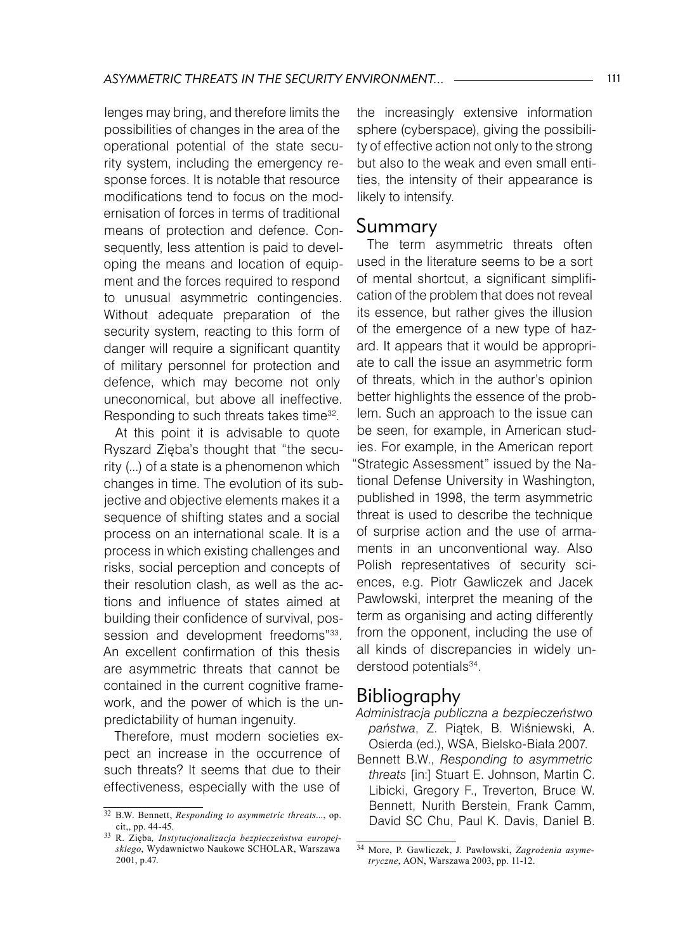lenges may bring, and therefore limits the possibilities of changes in the area of the operational potential of the state security system, including the emergency response forces. It is notable that resource modifications tend to focus on the modernisation of forces in terms of traditional means of protection and defence. Consequently, less attention is paid to developing the means and location of equipment and the forces required to respond to unusual asymmetric contingencies. Without adequate preparation of the security system, reacting to this form of danger will require a significant quantity of military personnel for protection and defence, which may become not only uneconomical, but above all ineffective. Responding to such threats takes time32.

At this point it is advisable to quote Ryszard Zięba's thought that "the security (...) of a state is a phenomenon which changes in time. The evolution of its subjective and objective elements makes it a sequence of shifting states and a social process on an international scale. It is a process in which existing challenges and risks, social perception and concepts of their resolution clash, as well as the actions and influence of states aimed at building their confidence of survival, possession and development freedoms"33. An excellent confirmation of this thesis are asymmetric threats that cannot be contained in the current cognitive framework, and the power of which is the unpredictability of human ingenuity.

Therefore, must modern societies expect an increase in the occurrence of such threats? It seems that due to their effectiveness, especially with the use of

the increasingly extensive information sphere (cyberspace), giving the possibility of effective action not only to the strong but also to the weak and even small entities, the intensity of their appearance is likely to intensify.

## Summary

The term asymmetric threats often used in the literature seems to be a sort of mental shortcut, a significant simplification of the problem that does not reveal its essence, but rather gives the illusion of the emergence of a new type of hazard. It appears that it would be appropriate to call the issue an asymmetric form of threats, which in the author's opinion better highlights the essence of the problem. Such an approach to the issue can be seen, for example, in American studies. For example, in the American report Strategic Assessment" issued by the National Defense University in Washington, published in 1998, the term asymmetric threat is used to describe the technique of surprise action and the use of armaments in an unconventional way. Also Polish representatives of security sciences, e.g. Piotr Gawliczek and Jacek Pawłowski, interpret the meaning of the term as organising and acting differently from the opponent, including the use of all kinds of discrepancies in widely understood potentials<sup>34</sup>.

## Bibliography

*Administracja publiczna a bezpieczeństwo państwa*, Z. Piątek, B. Wiśniewski, A. Osierda (ed.), WSA, Bielsko-Biała 2007.

Bennett B.W., *Responding to asymmetric threats* [in:] Stuart E. Johnson, Martin C. Libicki, Gregory F., Treverton, Bruce W. Bennett, Nurith Berstein, Frank Camm, David SC Chu, Paul K. Davis, Daniel B.

<sup>32</sup> B.W. Bennett, *Responding to asymmetric threats*..., op. cit,, pp. 44-45.

<sup>33</sup> R. Zięba*, Instytucjonalizacja bezpieczeństwa europejskiego*, Wydawnictwo Naukowe SCHOLAR, Warszawa 2001, p.47.

<sup>34</sup> More, P. Gawliczek, J. Pawłowski, *Zagrożenia asymetryczne*, AON, Warszawa 2003, pp. 11-12.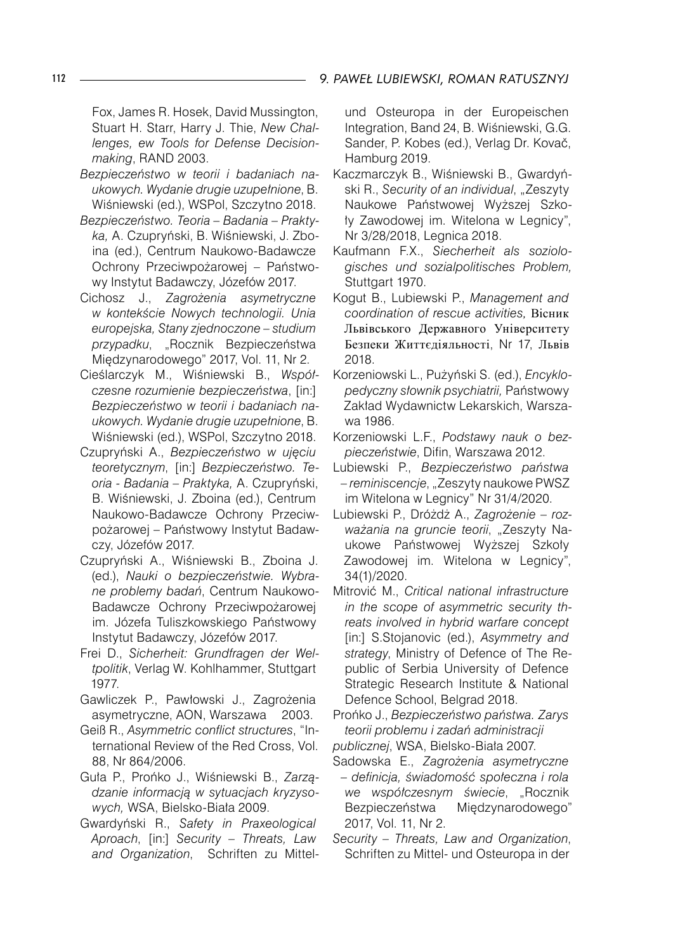Fox, James R. Hosek, David Mussington, Stuart H. Starr, Harry J. Thie, *New Challenges, ew Tools for Defense Decisionmaking*, RAND 2003.

- *Bezpieczeństwo w teorii i badaniach naukowych. Wydanie drugie uzupełnione*, B. Wiśniewski (ed.), WSPol, Szczytno 2018.
- *Bezpieczeństwo. Teoria Badania Praktyka,* A. Czupryński, B. Wiśniewski, J. Zboina (ed.), Centrum Naukowo-Badawcze Ochrony Przeciwpożarowej – Państwowy Instytut Badawczy, Józefów 2017.
- Cichosz J., *Zagrożenia asymetryczne w kontekście Nowych technologii. Unia europejska, Stany zjednoczone – studium przypadku*, "Rocznik Bezpieczeństwa Międzynarodowego" 2017, Vol. 11, Nr 2.
- Cieślarczyk M., Wiśniewski B., *Współczesne rozumienie bezpieczeństwa*, [in:] *Bezpieczeństwo w teorii i badaniach naukowych. Wydanie drugie uzupełnione*, B. Wiśniewski (ed.), WSPol, Szczytno 2018.
- Czupryński A., *Bezpieczeństwo w ujęciu teoretycznym*, [in:] *Bezpieczeństwo. Teoria - Badania – Praktyka,* A. Czupryński, B. Wiśniewski, J. Zboina (ed.), Centrum Naukowo-Badawcze Ochrony Przeciwpożarowej – Państwowy Instytut Badawczy, Józefów 2017.
- Czupryński A., Wiśniewski B., Zboina J. (ed.), *Nauki o bezpieczeństwie. Wybrane problemy badań*, Centrum Naukowo-Badawcze Ochrony Przeciwpożarowej im. Józefa Tuliszkowskiego Państwowy Instytut Badawczy, Józefów 2017.
- Frei D., *Sicherheit: Grundfragen der Weltpolitik*, Verlag W. Kohlhammer, Stuttgart 1977.
- Gawliczek P., Pawłowski J., Zagrożenia asymetryczne, AON, Warszawa 2003.
- Geiß R., *Asymmetric conflict structures*, "International Review of the Red Cross, Vol. 88, Nr 864/2006.
- Guła P., Prońko J., Wiśniewski B., *Zarządzanie informacją w sytuacjach kryzysowych,* WSA, Bielsko-Biała 2009.
- Gwardyński R., *Safety in Praxeological Aproach*, [in:] *Security – Threats, Law and Organization*, Schriften zu Mittel-

und Osteuropa in der Europeischen Integration, Band 24, B. Wiśniewski, G.G. Sander, P. Kobes (ed.), Verlag Dr. Kovač, Hamburg 2019.

- Kaczmarczyk B., Wiśniewski B., Gwardyński R., *Security of an individual*, "Zeszyty Naukowe Państwowej Wyższej Szkoły Zawodowej im. Witelona w Legnicy", Nr 3/28/2018, Legnica 2018.
- Kaufmann F.X., *Siecherheit als soziologisches und sozialpolitisches Problem,*  Stuttgart 1970.
- Kogut B., Lubiewski P., *Management and coordination of rescue activities,* Вісник Львівського Державного Університету Безпеки Життєдіяльності, Nr 17, Львів 2018.
- Korzeniowski L., Pużyński S. (ed.), *Encyklopedyczny słownik psychiatrii,* Państwowy Zakład Wydawnictw Lekarskich, Warszawa 1986.
- Korzeniowski L.F., *Podstawy nauk o bezpieczeństwie*, Difin, Warszawa 2012.
- Lubiewski P., *Bezpieczeństwo państwa – reminiscencje*, "Zeszyty naukowe PWSZ im Witelona w Legnicy" Nr 31/4/2020.
- Lubiewski P., Dróżdż A., *Zagrożenie roz*ważania na gruncie teorii, "Zeszyty Naukowe Państwowej Wyższej Szkoły Zawodowej im. Witelona w Legnicy", 34(1)/2020.
- Mitrović M., *Critical national infrastructure in the scope of asymmetric security threats involved in hybrid warfare concept* [in:] S.Stojanovic (ed.), *Asymmetry and strategy*, Ministry of Defence of The Republic of Serbia University of Defence Strategic Research Institute & National Defence School, Belgrad 2018.
- Prońko J., *Bezpieczeństwo państwa. Zarys teorii problemu i zadań administracji*
- *publicznej*, WSA, Bielsko-Biała 2007.
- Sadowska E., *Zagrożenia asymetryczne – definicja, świadomość społeczna i rola*  we współczesnym świecie, "Rocznik Bezpieczeństwa Międzynarodowego" 2017, Vol. 11, Nr 2.
- *Security Threats, Law and Organization*, Schriften zu Mittel- und Osteuropa in der